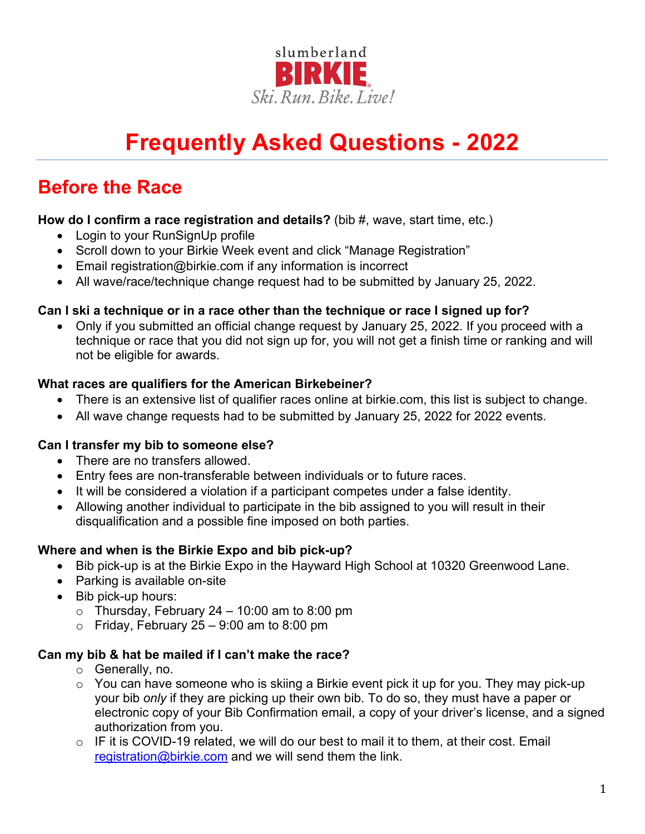

# **Frequently Asked Questions - 2022**

# **Before the Race**

#### **How do I confirm a race registration and details?** (bib #, wave, start time, etc.)

- Login to your RunSignUp profile
- Scroll down to your Birkie Week event and click "Manage Registration"
- Email registration@birkie.com if any information is incorrect
- All wave/race/technique change request had to be submitted by January 25, 2022.

#### **Can I ski a technique or in a race other than the technique or race I signed up for?**

• Only if you submitted an official change request by January 25, 2022. If you proceed with a technique or race that you did not sign up for, you will not get a finish time or ranking and will not be eligible for awards.

#### **What races are qualifiers for the American Birkebeiner?**

- There is an extensive list of qualifier races online at birkie.com, this list is subject to change.
- All wave change requests had to be submitted by January 25, 2022 for 2022 events.

#### **Can I transfer my bib to someone else?**

- There are no transfers allowed.
- Entry fees are non-transferable between individuals or to future races.
- It will be considered a violation if a participant competes under a false identity.
- Allowing another individual to participate in the bib assigned to you will result in their disqualification and a possible fine imposed on both parties.

#### **Where and when is the Birkie Expo and bib pick-up?**

- Bib pick-up is at the Birkie Expo in the Hayward High School at 10320 Greenwood Lane.
- Parking is available on-site
- Bib pick-up hours:
	- $\circ$  Thursday, February 24 10:00 am to 8:00 pm
	- $\circ$  Friday, February 25 9:00 am to 8:00 pm

#### **Can my bib & hat be mailed if I can't make the race?**

- o Generally, no.
- $\circ$  You can have someone who is skiing a Birkie event pick it up for you. They may pick-up your bib *only* if they are picking up their own bib. To do so, they must have a paper or electronic copy of your Bib Confirmation email, a copy of your driver's license, and a signed authorization from you.
- $\circ$  IF it is COVID-19 related, we will do our best to mail it to them, at their cost. Email [registration@birkie.com](mailto:registration@birkie.com) and we will send them the link.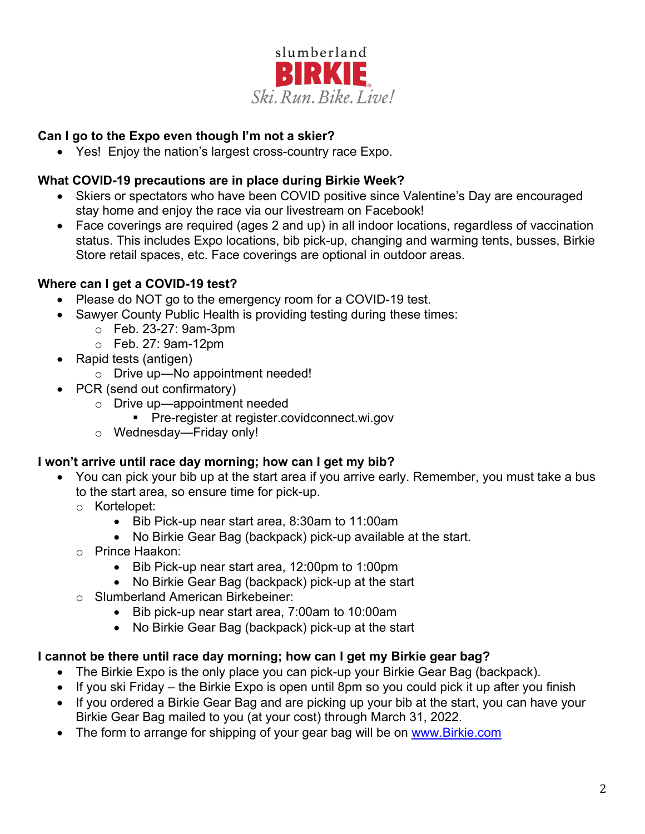

# **Can I go to the Expo even though I'm not a skier?**

• Yes! Enjoy the nation's largest cross-country race Expo.

# **What COVID-19 precautions are in place during Birkie Week?**

- Skiers or spectators who have been COVID positive since Valentine's Day are encouraged stay home and enjoy the race via our livestream on Facebook!
- Face coverings are required (ages 2 and up) in all indoor locations, regardless of vaccination status. This includes Expo locations, bib pick-up, changing and warming tents, busses, Birkie Store retail spaces, etc. Face coverings are optional in outdoor areas.

# **Where can I get a COVID-19 test?**

- Please do NOT go to the emergency room for a COVID-19 test.
- Sawyer County Public Health is providing testing during these times:
	- o Feb. 23-27: 9am-3pm
	- o Feb. 27: 9am-12pm
- Rapid tests (antigen)
	- o Drive up—No appointment needed!
- PCR (send out confirmatory)
	- o Drive up—appointment needed
		- **Pre-register at register.covidconnect.wi.gov**
	- o Wednesday—Friday only!

#### **I won't arrive until race day morning; how can I get my bib?**

- You can pick your bib up at the start area if you arrive early. Remember, you must take a bus to the start area, so ensure time for pick-up.
	- o Kortelopet:
		- Bib Pick-up near start area, 8:30am to 11:00am
		- No Birkie Gear Bag (backpack) pick-up available at the start.
	- o Prince Haakon:
		- Bib Pick-up near start area, 12:00pm to 1:00pm
		- No Birkie Gear Bag (backpack) pick-up at the start
	- o Slumberland American Birkebeiner:
		- Bib pick-up near start area, 7:00am to 10:00am
		- No Birkie Gear Bag (backpack) pick-up at the start

#### **I cannot be there until race day morning; how can I get my Birkie gear bag?**

- The Birkie Expo is the only place you can pick-up your Birkie Gear Bag (backpack).
- If you ski Friday the Birkie Expo is open until 8pm so you could pick it up after you finish
- If you ordered a Birkie Gear Bag and are picking up your bib at the start, you can have your Birkie Gear Bag mailed to you (at your cost) through March 31, 2022.
- The form to arrange for shipping of your gear bag will be on [www.Birkie.com](http://www.birkie.com/)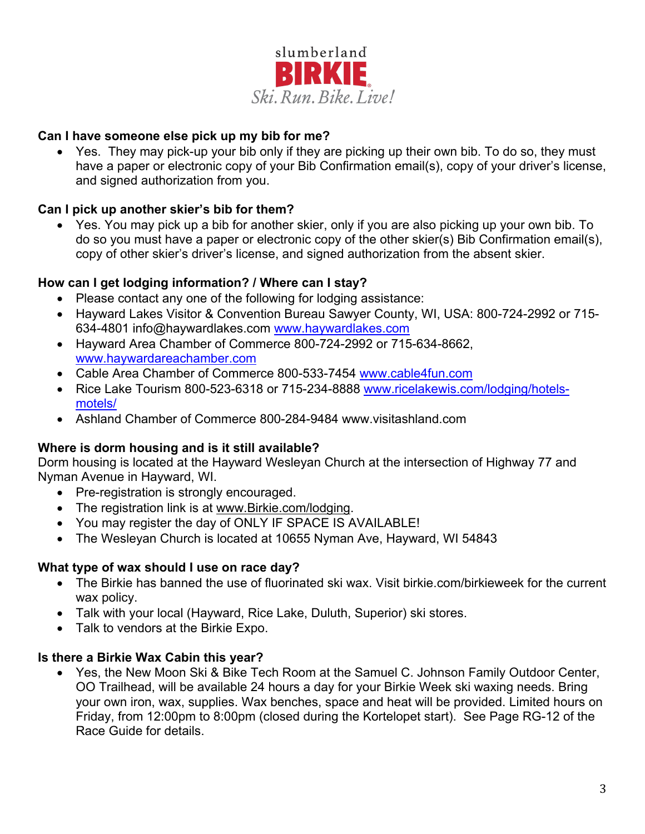

#### **Can I have someone else pick up my bib for me?**

• Yes. They may pick-up your bib only if they are picking up their own bib. To do so, they must have a paper or electronic copy of your Bib Confirmation email(s), copy of your driver's license, and signed authorization from you.

#### **Can I pick up another skier's bib for them?**

• Yes. You may pick up a bib for another skier, only if you are also picking up your own bib. To do so you must have a paper or electronic copy of the other skier(s) Bib Confirmation email(s), copy of other skier's driver's license, and signed authorization from the absent skier.

#### **How can I get lodging information? / Where can I stay?**

- Please contact any one of the following for lodging assistance:
- Hayward Lakes Visitor & Convention Bureau Sawyer County, WI, USA: 800-724-2992 or 715- 634-4801 info@haywardlakes.com [www.haywardlakes.com](http://www.haywardlakes.com/)
- Hayward Area Chamber of Commerce 800-724-2992 or 715-634-8662, [www.haywardareachamber.com](http://www.haywardareachamber.com/)
- Cable Area Chamber of Commerce 800-533-7454 [www.cable4fun.com](http://www.cable4fun.com/)
- Rice Lake Tourism 800-523-6318 or 715-234-8888 [www.ricelakewis.com/lodging/hotels](http://www.ricelakewis.com/lodging/hotels-motels/)[motels/](http://www.ricelakewis.com/lodging/hotels-motels/)
- Ashland Chamber of Commerce 800-284-9484 www.visitashland.com

#### **Where is dorm housing and is it still available?**

Dorm housing is located at the Hayward Wesleyan Church at the intersection of Highway 77 and Nyman Avenue in Hayward, WI.

- Pre-registration is strongly encouraged.
- The registration link is at [www.Birkie.com/lodging.](http://www.birkie.com/lodging)
- You may register the day of ONLY IF SPACE IS AVAILABLE!
- The Wesleyan Church is located at 10655 Nyman Ave, Hayward, WI 54843

#### **What type of wax should I use on race day?**

- The Birkie has banned the use of fluorinated ski wax. Visit birkie.com/birkieweek for the current wax policy.
- Talk with your local (Hayward, Rice Lake, Duluth, Superior) ski stores.
- Talk to vendors at the Birkie Expo.

#### **Is there a Birkie Wax Cabin this year?**

• Yes, the New Moon Ski & Bike Tech Room at the Samuel C. Johnson Family Outdoor Center, OO Trailhead, will be available 24 hours a day for your Birkie Week ski waxing needs. Bring your own iron, wax, supplies. Wax benches, space and heat will be provided. Limited hours on Friday, from 12:00pm to 8:00pm (closed during the Kortelopet start). See Page RG-12 of the Race Guide for details.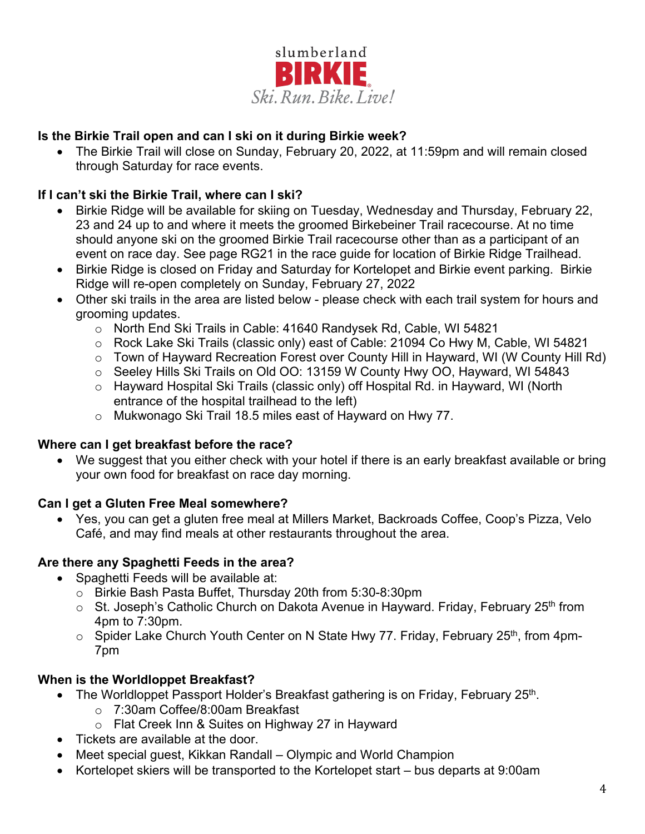

# **Is the Birkie Trail open and can I ski on it during Birkie week?**

• The Birkie Trail will close on Sunday, February 20, 2022, at 11:59pm and will remain closed through Saturday for race events.

# **If I can't ski the Birkie Trail, where can I ski?**

- Birkie Ridge will be available for skiing on Tuesday, Wednesday and Thursday, February 22, 23 and 24 up to and where it meets the groomed Birkebeiner Trail racecourse. At no time should anyone ski on the groomed Birkie Trail racecourse other than as a participant of an event on race day. See page RG21 in the race guide for location of Birkie Ridge Trailhead.
- Birkie Ridge is closed on Friday and Saturday for Kortelopet and Birkie event parking. Birkie Ridge will re-open completely on Sunday, February 27, 2022
- Other ski trails in the area are listed below please check with each trail system for hours and grooming updates.
	- o North End Ski Trails in Cable: 41640 Randysek Rd, Cable, WI 54821
	- o Rock Lake Ski Trails (classic only) east of Cable: 21094 Co Hwy M, Cable, WI 54821
	- o Town of Hayward Recreation Forest over County Hill in Hayward, WI (W County Hill Rd)
	- o Seeley Hills Ski Trails on Old OO: 13159 W County Hwy OO, Hayward, WI 54843
	- o Hayward Hospital Ski Trails (classic only) off Hospital Rd. in Hayward, WI (North entrance of the hospital trailhead to the left)
	- o Mukwonago Ski Trail 18.5 miles east of Hayward on Hwy 77.

#### **Where can I get breakfast before the race?**

• We suggest that you either check with your hotel if there is an early breakfast available or bring your own food for breakfast on race day morning.

#### **Can I get a Gluten Free Meal somewhere?**

• Yes, you can get a gluten free meal at Millers Market, Backroads Coffee, Coop's Pizza, Velo Café, and may find meals at other restaurants throughout the area.

#### **Are there any Spaghetti Feeds in the area?**

- Spaghetti Feeds will be available at:
	- o Birkie Bash Pasta Buffet, Thursday 20th from 5:30-8:30pm
	- $\circ$  St. Joseph's Catholic Church on Dakota Avenue in Hayward. Friday, February 25<sup>th</sup> from 4pm to 7:30pm.
	- $\circ$  Spider Lake Church Youth Center on N State Hwy 77. Friday, February 25<sup>th</sup>, from 4pm-7pm

#### **When is the Worldloppet Breakfast?**

- The Worldloppet Passport Holder's Breakfast gathering is on Friday, February 25<sup>th</sup>.
	- o 7:30am Coffee/8:00am Breakfast
	- o Flat Creek Inn & Suites on Highway 27 in Hayward
- Tickets are available at the door.
- Meet special quest, Kikkan Randall Olympic and World Champion
- Kortelopet skiers will be transported to the Kortelopet start bus departs at 9:00am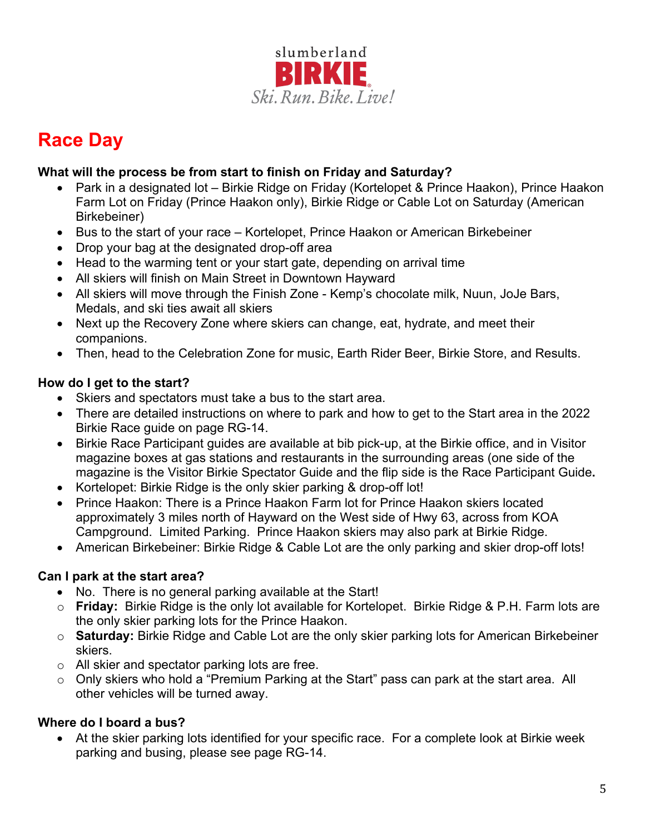

# **Race Day**

# **What will the process be from start to finish on Friday and Saturday?**

- Park in a designated lot Birkie Ridge on Friday (Kortelopet & Prince Haakon), Prince Haakon Farm Lot on Friday (Prince Haakon only), Birkie Ridge or Cable Lot on Saturday (American Birkebeiner)
- Bus to the start of your race Kortelopet, Prince Haakon or American Birkebeiner
- Drop your bag at the designated drop-off area
- Head to the warming tent or your start gate, depending on arrival time
- All skiers will finish on Main Street in Downtown Hayward
- All skiers will move through the Finish Zone Kemp's chocolate milk, Nuun, JoJe Bars, Medals, and ski ties await all skiers
- Next up the Recovery Zone where skiers can change, eat, hydrate, and meet their companions.
- Then, head to the Celebration Zone for music, Earth Rider Beer, Birkie Store, and Results.

#### **How do I get to the start?**

- Skiers and spectators must take a bus to the start area.
- There are detailed instructions on where to park and how to get to the Start area in the 2022 Birkie Race guide on page RG-14.
- Birkie Race Participant guides are available at bib pick-up, at the Birkie office, and in Visitor magazine boxes at gas stations and restaurants in the surrounding areas (one side of the magazine is the Visitor Birkie Spectator Guide and the flip side is the Race Participant Guide**.**
- Kortelopet: Birkie Ridge is the only skier parking & drop-off lot!
- Prince Haakon: There is a Prince Haakon Farm lot for Prince Haakon skiers located approximately 3 miles north of Hayward on the West side of Hwy 63, across from KOA Campground. Limited Parking. Prince Haakon skiers may also park at Birkie Ridge.
- American Birkebeiner: Birkie Ridge & Cable Lot are the only parking and skier drop-off lots!

#### **Can I park at the start area?**

- No. There is no general parking available at the Start!
- o **Friday:** Birkie Ridge is the only lot available for Kortelopet. Birkie Ridge & P.H. Farm lots are the only skier parking lots for the Prince Haakon.
- o **Saturday:** Birkie Ridge and Cable Lot are the only skier parking lots for American Birkebeiner skiers.
- o All skier and spectator parking lots are free.
- o Only skiers who hold a "Premium Parking at the Start" pass can park at the start area. All other vehicles will be turned away.

#### **Where do I board a bus?**

• At the skier parking lots identified for your specific race. For a complete look at Birkie week parking and busing, please see page RG-14.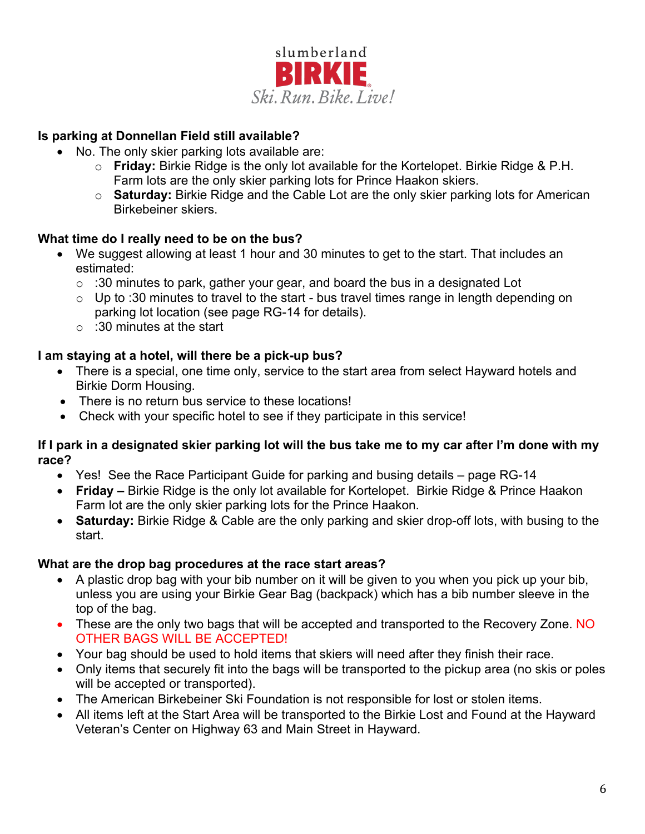

# **Is parking at Donnellan Field still available?**

- No. The only skier parking lots available are:
	- o **Friday:** Birkie Ridge is the only lot available for the Kortelopet. Birkie Ridge & P.H. Farm lots are the only skier parking lots for Prince Haakon skiers.
	- o **Saturday:** Birkie Ridge and the Cable Lot are the only skier parking lots for American Birkebeiner skiers.

#### **What time do I really need to be on the bus?**

- We suggest allowing at least 1 hour and 30 minutes to get to the start. That includes an estimated:
	- $\circ$  :30 minutes to park, gather your gear, and board the bus in a designated Lot
	- $\circ$  Up to :30 minutes to travel to the start bus travel times range in length depending on parking lot location (see page RG-14 for details).
	- $\circ$  :30 minutes at the start

#### **I am staying at a hotel, will there be a pick-up bus?**

- There is a special, one time only, service to the start area from select Hayward hotels and Birkie Dorm Housing.
- There is no return bus service to these locations!
- Check with your specific hotel to see if they participate in this service!

#### **If I park in a designated skier parking lot will the bus take me to my car after I'm done with my race?**

- Yes! See the Race Participant Guide for parking and busing details page RG-14
- **Friday –** Birkie Ridge is the only lot available for Kortelopet. Birkie Ridge & Prince Haakon Farm lot are the only skier parking lots for the Prince Haakon.
- **Saturday:** Birkie Ridge & Cable are the only parking and skier drop-off lots, with busing to the start.

#### **What are the drop bag procedures at the race start areas?**

- A plastic drop bag with your bib number on it will be given to you when you pick up your bib, unless you are using your Birkie Gear Bag (backpack) which has a bib number sleeve in the top of the bag.
- These are the only two bags that will be accepted and transported to the Recovery Zone. NO OTHER BAGS WILL BE ACCEPTED!
- Your bag should be used to hold items that skiers will need after they finish their race.
- Only items that securely fit into the bags will be transported to the pickup area (no skis or poles will be accepted or transported).
- The American Birkebeiner Ski Foundation is not responsible for lost or stolen items.
- All items left at the Start Area will be transported to the Birkie Lost and Found at the Hayward Veteran's Center on Highway 63 and Main Street in Hayward.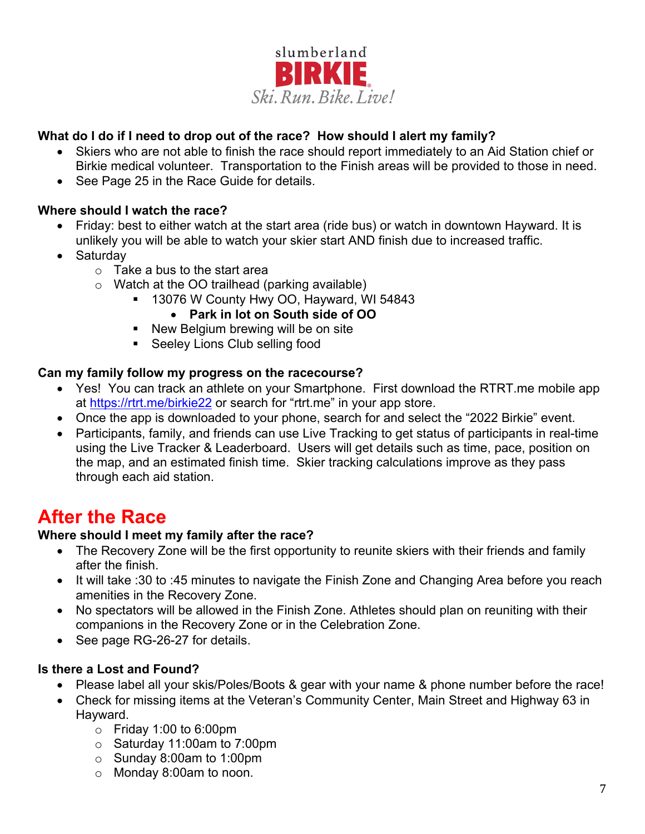

# **What do I do if I need to drop out of the race? How should I alert my family?**

- Skiers who are not able to finish the race should report immediately to an Aid Station chief or Birkie medical volunteer. Transportation to the Finish areas will be provided to those in need.
- See Page 25 in the Race Guide for details.

#### **Where should I watch the race?**

- Friday: best to either watch at the start area (ride bus) or watch in downtown Hayward. It is unlikely you will be able to watch your skier start AND finish due to increased traffic.
- Saturday
	- $\circ$  Take a bus to the start area
	- o Watch at the OO trailhead (parking available)
		- 13076 W County Hwy OO, Hayward, WI 54843

#### • **Park in lot on South side of OO**

- **New Belgium brewing will be on site**
- **Seeley Lions Club selling food**

#### **Can my family follow my progress on the racecourse?**

- Yes! You can track an athlete on your Smartphone. First download the RTRT me mobile app at<https://rtrt.me/birkie22> or search for "rtrt.me" in your app store.
- Once the app is downloaded to your phone, search for and select the "2022 Birkie" event.
- Participants, family, and friends can use Live Tracking to get status of participants in real-time using the Live Tracker & Leaderboard. Users will get details such as time, pace, position on the map, and an estimated finish time. Skier tracking calculations improve as they pass through each aid station.

# **After the Race**

#### **Where should I meet my family after the race?**

- The Recovery Zone will be the first opportunity to reunite skiers with their friends and family after the finish.
- It will take :30 to :45 minutes to navigate the Finish Zone and Changing Area before you reach amenities in the Recovery Zone.
- No spectators will be allowed in the Finish Zone. Athletes should plan on reuniting with their companions in the Recovery Zone or in the Celebration Zone.
- See page RG-26-27 for details.

#### **Is there a Lost and Found?**

- Please label all your skis/Poles/Boots & gear with your name & phone number before the race!
- Check for missing items at the Veteran's Community Center, Main Street and Highway 63 in Hayward.
	- $\circ$  Friday 1:00 to 6:00pm
	- o Saturday 11:00am to 7:00pm
	- o Sunday 8:00am to 1:00pm
	- o Monday 8:00am to noon.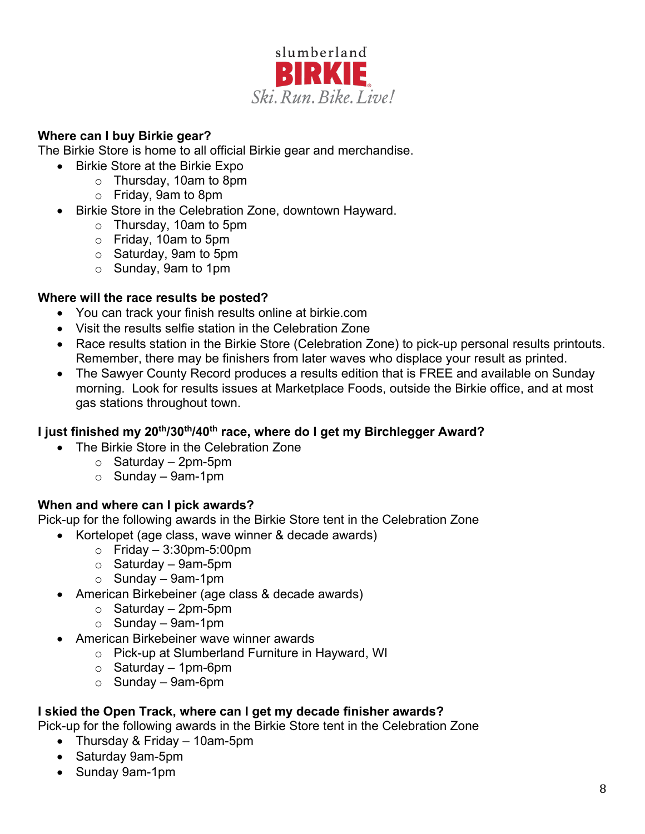

#### **Where can I buy Birkie gear?**

The Birkie Store is home to all official Birkie gear and merchandise.

- Birkie Store at the Birkie Expo
	- o Thursday, 10am to 8pm
	- o Friday, 9am to 8pm
- Birkie Store in the Celebration Zone, downtown Hayward.
	- o Thursday, 10am to 5pm
	- o Friday, 10am to 5pm
	- o Saturday, 9am to 5pm
	- o Sunday, 9am to 1pm

#### **Where will the race results be posted?**

- You can track your finish results online at birkie.com
- Visit the results selfie station in the Celebration Zone
- Race results station in the Birkie Store (Celebration Zone) to pick-up personal results printouts. Remember, there may be finishers from later waves who displace your result as printed.
- The Sawyer County Record produces a results edition that is FREE and available on Sunday morning. Look for results issues at Marketplace Foods, outside the Birkie office, and at most gas stations throughout town.

#### **I just finished my 20th/30th/40th race, where do I get my Birchlegger Award?**

- The Birkie Store in the Celebration Zone
	- $\circ$  Saturday 2pm-5pm
	- $\circ$  Sunday 9am-1pm

#### **When and where can I pick awards?**

Pick-up for the following awards in the Birkie Store tent in the Celebration Zone

- Kortelopet (age class, wave winner & decade awards)
	- $\circ$  Friday 3:30pm-5:00pm
	- $\circ$  Saturday 9am-5pm
	- $\circ$  Sunday 9am-1pm
- American Birkebeiner (age class & decade awards)
	- $\circ$  Saturday 2pm-5pm
	- $\circ$  Sunday 9am-1pm
- American Birkebeiner wave winner awards
	- o Pick-up at Slumberland Furniture in Hayward, WI
	- $\circ$  Saturday 1pm-6pm
	- $\circ$  Sunday 9am-6pm

#### **I skied the Open Track, where can I get my decade finisher awards?**

Pick-up for the following awards in the Birkie Store tent in the Celebration Zone

- Thursday & Friday 10am-5pm
- Saturday 9am-5pm
- Sunday 9am-1pm